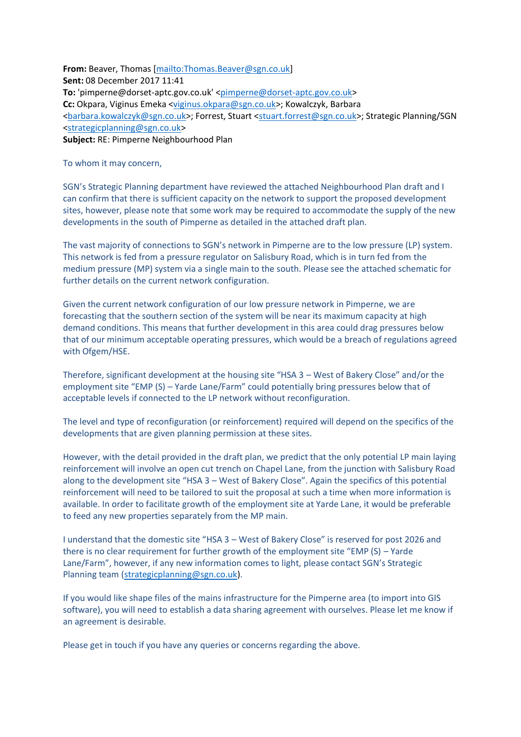**From:** Beaver, Thomas [\[mailto:Thomas.Beaver@sgn.co.uk\]](mailto:Thomas.Beaver@sgn.co.uk) **Sent:** 08 December 2017 11:41 To: 'pimperne@dorset-aptc.gov.co.uk' [<pimperne@dorset-aptc.gov.co.uk>](mailto:pimperne@dorset-aptc.gov.co.uk) **Cc:** Okpara, Viginus Emeka [<viginus.okpara@sgn.co.uk>](mailto:viginus.okpara@sgn.co.uk); Kowalczyk, Barbara <br />
strategic Planning/SGN <a>
strategic Planning/SGN <a>
strategic Planning/SGN <a>
strategic Planning/SGN <a>
strategic Planning/SGN <a>
strategic Planning/SGN <a>
strategic Planning/SGN <a>
strategic Planning/SGN <a> [<strategicplanning@sgn.co.uk>](mailto:strategicplanning@sgn.co.uk) **Subject:** RE: Pimperne Neighbourhood Plan

To whom it may concern,

SGN's Strategic Planning department have reviewed the attached Neighbourhood Plan draft and I can confirm that there is sufficient capacity on the network to support the proposed development sites, however, please note that some work may be required to accommodate the supply of the new developments in the south of Pimperne as detailed in the attached draft plan.

The vast majority of connections to SGN's network in Pimperne are to the low pressure (LP) system. This network is fed from a pressure regulator on Salisbury Road, which is in turn fed from the medium pressure (MP) system via a single main to the south. Please see the attached schematic for further details on the current network configuration.

Given the current network configuration of our low pressure network in Pimperne, we are forecasting that the southern section of the system will be near its maximum capacity at high demand conditions. This means that further development in this area could drag pressures below that of our minimum acceptable operating pressures, which would be a breach of regulations agreed with Ofgem/HSE.

Therefore, significant development at the housing site "HSA 3 – West of Bakery Close" and/or the employment site "EMP (S) – Yarde Lane/Farm" could potentially bring pressures below that of acceptable levels if connected to the LP network without reconfiguration.

The level and type of reconfiguration (or reinforcement) required will depend on the specifics of the developments that are given planning permission at these sites.

However, with the detail provided in the draft plan, we predict that the only potential LP main laying reinforcement will involve an open cut trench on Chapel Lane, from the junction with Salisbury Road along to the development site "HSA 3 – West of Bakery Close". Again the specifics of this potential reinforcement will need to be tailored to suit the proposal at such a time when more information is available. In order to facilitate growth of the employment site at Yarde Lane, it would be preferable to feed any new properties separately from the MP main.

I understand that the domestic site "HSA 3 – West of Bakery Close" is reserved for post 2026 and there is no clear requirement for further growth of the employment site "EMP (S) – Yarde Lane/Farm", however, if any new information comes to light, please contact SGN's Strategic Planning team [\(strategicplanning@sgn.co.uk\)](mailto:strategicplanning@sgn.co.uk).

If you would like shape files of the mains infrastructure for the Pimperne area (to import into GIS software), you will need to establish a data sharing agreement with ourselves. Please let me know if an agreement is desirable.

Please get in touch if you have any queries or concerns regarding the above.